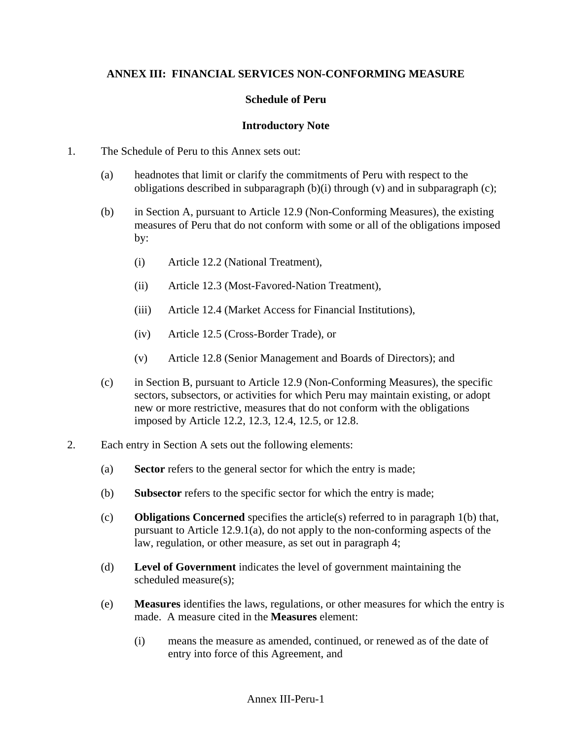#### **ANNEX III: FINANCIAL SERVICES NON-CONFORMING MEASURE**

#### **Schedule of Peru**

#### **Introductory Note**

- 1. The Schedule of Peru to this Annex sets out:
	- (a) headnotes that limit or clarify the commitments of Peru with respect to the obligations described in subparagraph (b)(i) through (v) and in subparagraph (c);
	- (b) in Section A, pursuant to Article 12.9 (Non-Conforming Measures), the existing measures of Peru that do not conform with some or all of the obligations imposed by:
		- (i) Article 12.2 (National Treatment),
		- (ii) Article 12.3 (Most-Favored-Nation Treatment),
		- (iii) Article 12.4 (Market Access for Financial Institutions),
		- (iv) Article 12.5 (Cross-Border Trade), or
		- (v) Article 12.8 (Senior Management and Boards of Directors); and
	- (c) in Section B, pursuant to Article 12.9 (Non-Conforming Measures), the specific sectors, subsectors, or activities for which Peru may maintain existing, or adopt new or more restrictive, measures that do not conform with the obligations imposed by Article 12.2, 12.3, 12.4, 12.5, or 12.8.
- 2. Each entry in Section A sets out the following elements:
	- (a) **Sector** refers to the general sector for which the entry is made;
	- (b) **Subsector** refers to the specific sector for which the entry is made;
	- (c) **Obligations Concerned** specifies the article(s) referred to in paragraph 1(b) that, pursuant to Article 12.9.1(a), do not apply to the non-conforming aspects of the law, regulation, or other measure, as set out in paragraph 4;
	- (d) **Level of Government** indicates the level of government maintaining the scheduled measure(s);
	- (e) **Measures** identifies the laws, regulations, or other measures for which the entry is made. A measure cited in the **Measures** element:
		- (i) means the measure as amended, continued, or renewed as of the date of entry into force of this Agreement, and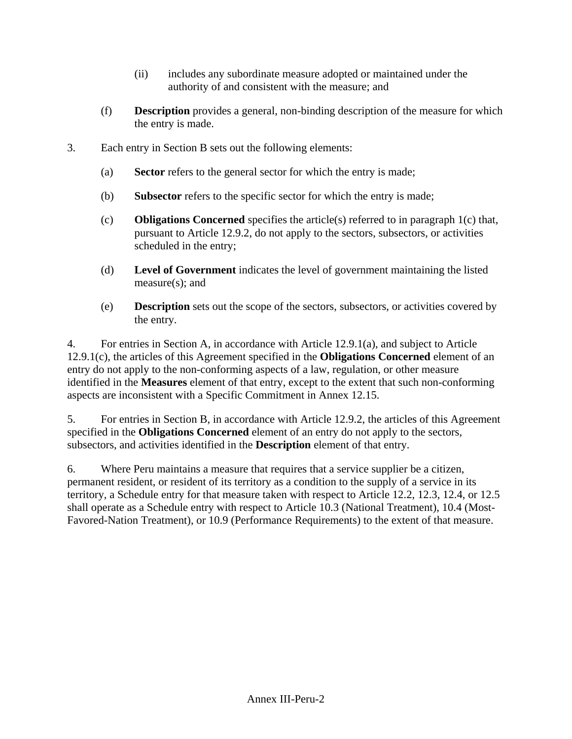- (ii) includes any subordinate measure adopted or maintained under the authority of and consistent with the measure; and
- (f) **Description** provides a general, non-binding description of the measure for which the entry is made.
- 3. Each entry in Section B sets out the following elements:
	- (a) **Sector** refers to the general sector for which the entry is made;
	- (b) **Subsector** refers to the specific sector for which the entry is made;
	- (c) **Obligations Concerned** specifies the article(s) referred to in paragraph 1(c) that, pursuant to Article 12.9.2, do not apply to the sectors, subsectors, or activities scheduled in the entry;
	- (d) **Level of Government** indicates the level of government maintaining the listed measure(s); and
	- (e) **Description** sets out the scope of the sectors, subsectors, or activities covered by the entry.

4. For entries in Section A, in accordance with Article 12.9.1(a), and subject to Article 12.9.1(c), the articles of this Agreement specified in the **Obligations Concerned** element of an entry do not apply to the non-conforming aspects of a law, regulation, or other measure identified in the **Measures** element of that entry, except to the extent that such non-conforming aspects are inconsistent with a Specific Commitment in Annex 12.15.

5. For entries in Section B, in accordance with Article 12.9.2, the articles of this Agreement specified in the **Obligations Concerned** element of an entry do not apply to the sectors, subsectors, and activities identified in the **Description** element of that entry.

6. Where Peru maintains a measure that requires that a service supplier be a citizen, permanent resident, or resident of its territory as a condition to the supply of a service in its territory, a Schedule entry for that measure taken with respect to Article 12.2, 12.3, 12.4, or 12.5 shall operate as a Schedule entry with respect to Article 10.3 (National Treatment), 10.4 (Most-Favored-Nation Treatment), or 10.9 (Performance Requirements) to the extent of that measure.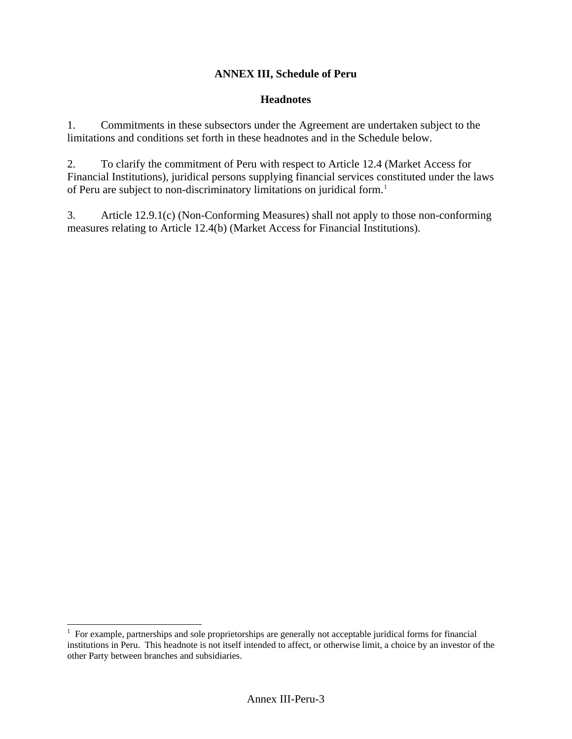### **ANNEX III, Schedule of Peru**

#### **Headnotes**

1. Commitments in these subsectors under the Agreement are undertaken subject to the limitations and conditions set forth in these headnotes and in the Schedule below.

2. To clarify the commitment of Peru with respect to Article 12.4 (Market Access for Financial Institutions), juridical persons supplying financial services constituted under the laws of Peru are subject to non-discriminatory limitations on juridical form.<sup>[1](#page-2-0)</sup>

3. Article 12.9.1(c) (Non-Conforming Measures) shall not apply to those non-conforming measures relating to Article 12.4(b) (Market Access for Financial Institutions).

 $\overline{a}$ 

<span id="page-2-0"></span><sup>&</sup>lt;sup>1</sup> For example, partnerships and sole proprietorships are generally not acceptable juridical forms for financial institutions in Peru. This headnote is not itself intended to affect, or otherwise limit, a choice by an investor of the other Party between branches and subsidiaries.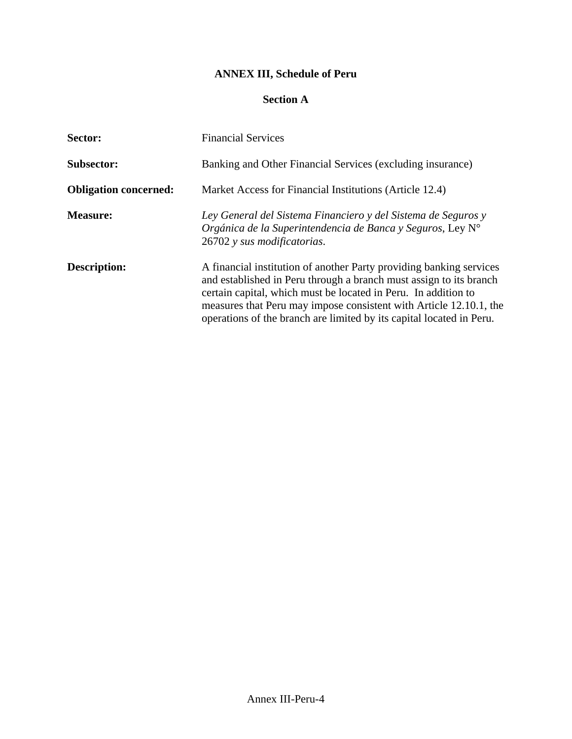# **ANNEX III, Schedule of Peru**

### **Section A**

| Sector:                      | <b>Financial Services</b>                                                                                                                                                                                                                                                                                                                                 |
|------------------------------|-----------------------------------------------------------------------------------------------------------------------------------------------------------------------------------------------------------------------------------------------------------------------------------------------------------------------------------------------------------|
| <b>Subsector:</b>            | Banking and Other Financial Services (excluding insurance)                                                                                                                                                                                                                                                                                                |
| <b>Obligation concerned:</b> | Market Access for Financial Institutions (Article 12.4)                                                                                                                                                                                                                                                                                                   |
| <b>Measure:</b>              | Ley General del Sistema Financiero y del Sistema de Seguros y<br>Orgánica de la Superintendencia de Banca y Seguros, Ley N°<br>26702 y sus modificatorias.                                                                                                                                                                                                |
| <b>Description:</b>          | A financial institution of another Party providing banking services<br>and established in Peru through a branch must assign to its branch<br>certain capital, which must be located in Peru. In addition to<br>measures that Peru may impose consistent with Article 12.10.1, the<br>operations of the branch are limited by its capital located in Peru. |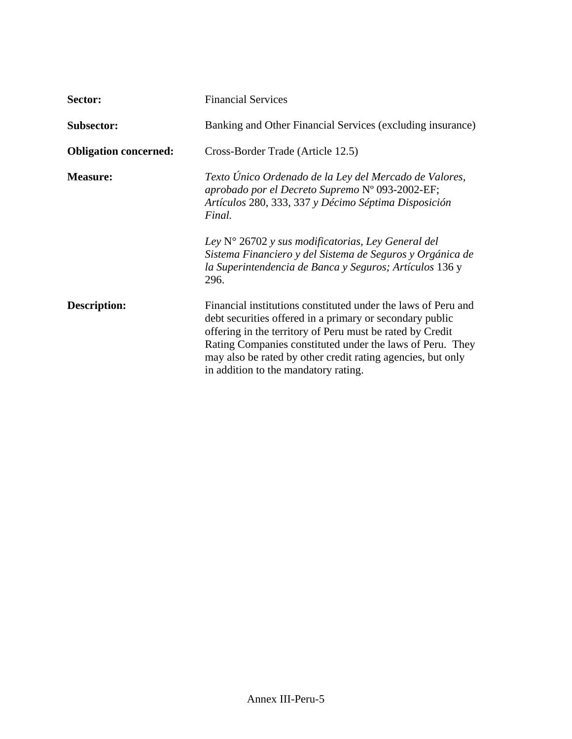| Sector:                      | <b>Financial Services</b>                                                                                                                                                                                                                                                                                                                                                  |
|------------------------------|----------------------------------------------------------------------------------------------------------------------------------------------------------------------------------------------------------------------------------------------------------------------------------------------------------------------------------------------------------------------------|
| <b>Subsector:</b>            | Banking and Other Financial Services (excluding insurance)                                                                                                                                                                                                                                                                                                                 |
| <b>Obligation concerned:</b> | Cross-Border Trade (Article 12.5)                                                                                                                                                                                                                                                                                                                                          |
| <b>Measure:</b>              | Texto Único Ordenado de la Ley del Mercado de Valores,<br>aprobado por el Decreto Supremo Nº 093-2002-EF;<br>Artículos 280, 333, 337 y Décimo Séptima Disposición<br>Final.<br>Ley $N^{\circ}$ 26702 y sus modificatorias, Ley General del<br>Sistema Financiero y del Sistema de Seguros y Orgánica de<br>la Superintendencia de Banca y Seguros; Artículos 136 y<br>296. |
| <b>Description:</b>          | Financial institutions constituted under the laws of Peru and<br>debt securities offered in a primary or secondary public<br>offering in the territory of Peru must be rated by Credit<br>Rating Companies constituted under the laws of Peru. They<br>may also be rated by other credit rating agencies, but only<br>in addition to the mandatory rating.                 |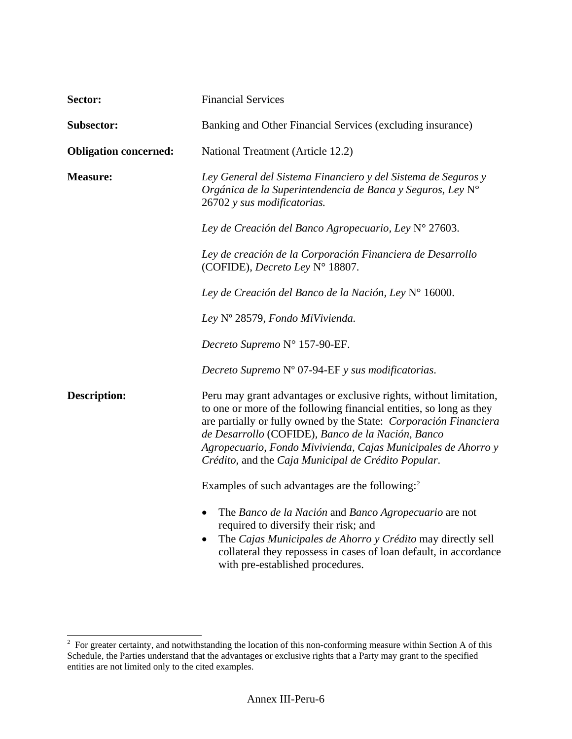| Sector:                      | <b>Financial Services</b>                                                                                                                                                                                                                                                                                                                                                                   |
|------------------------------|---------------------------------------------------------------------------------------------------------------------------------------------------------------------------------------------------------------------------------------------------------------------------------------------------------------------------------------------------------------------------------------------|
| <b>Subsector:</b>            | Banking and Other Financial Services (excluding insurance)                                                                                                                                                                                                                                                                                                                                  |
| <b>Obligation concerned:</b> | National Treatment (Article 12.2)                                                                                                                                                                                                                                                                                                                                                           |
| <b>Measure:</b>              | Ley General del Sistema Financiero y del Sistema de Seguros y<br>Orgánica de la Superintendencia de Banca y Seguros, Ley N°<br>26702 y sus modificatorias.                                                                                                                                                                                                                                  |
|                              | Ley de Creación del Banco Agropecuario, Ley Nº 27603.                                                                                                                                                                                                                                                                                                                                       |
|                              | Ley de creación de la Corporación Financiera de Desarrollo<br>(COFIDE), Decreto Ley N° 18807.                                                                                                                                                                                                                                                                                               |
|                              | Ley de Creación del Banco de la Nación, Ley Nº 16000.                                                                                                                                                                                                                                                                                                                                       |
|                              | Ley Nº 28579, Fondo MiVivienda.                                                                                                                                                                                                                                                                                                                                                             |
|                              | Decreto Supremo Nº 157-90-EF.                                                                                                                                                                                                                                                                                                                                                               |
|                              | Decreto Supremo Nº 07-94-EF y sus modificatorias.                                                                                                                                                                                                                                                                                                                                           |
| <b>Description:</b>          | Peru may grant advantages or exclusive rights, without limitation,<br>to one or more of the following financial entities, so long as they<br>are partially or fully owned by the State: Corporación Financiera<br>de Desarrollo (COFIDE), Banco de la Nación, Banco<br>Agropecuario, Fondo Mivivienda, Cajas Municipales de Ahorro y<br>Crédito, and the Caja Municipal de Crédito Popular. |
|                              | Examples of such advantages are the following: <sup>2</sup>                                                                                                                                                                                                                                                                                                                                 |
|                              | The Banco de la Nación and Banco Agropecuario are not<br>$\bullet$<br>required to diversify their risk; and<br>The Cajas Municipales de Ahorro y Crédito may directly sell<br>collateral they repossess in cases of loan default, in accordance<br>with pre-established procedures.                                                                                                         |

<span id="page-5-0"></span><sup>&</sup>lt;sup>2</sup> For greater certainty, and notwithstanding the location of this non-conforming measure within Section A of this Schedule, the Parties understand that the advantages or exclusive rights that a Party may grant to the specified entities are not limited only to the cited examples.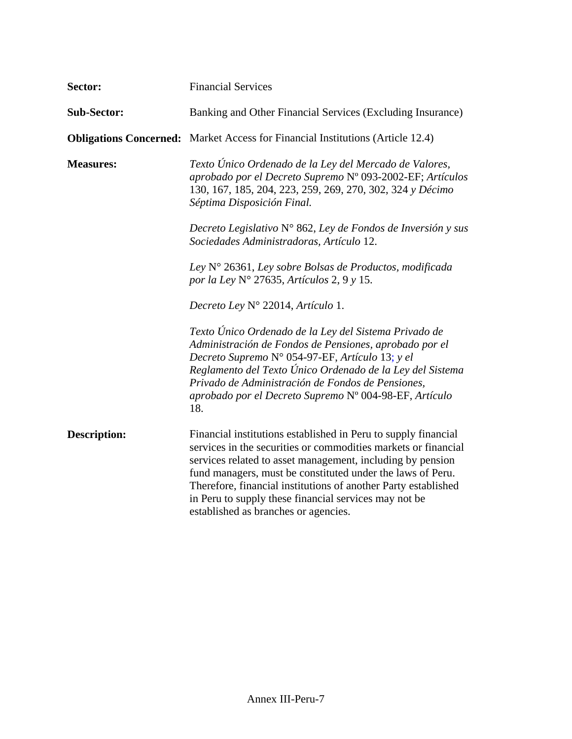| Sector:             | <b>Financial Services</b>                                                                                                                                                                                                                                                                                                                                                                                                       |
|---------------------|---------------------------------------------------------------------------------------------------------------------------------------------------------------------------------------------------------------------------------------------------------------------------------------------------------------------------------------------------------------------------------------------------------------------------------|
| <b>Sub-Sector:</b>  | Banking and Other Financial Services (Excluding Insurance)                                                                                                                                                                                                                                                                                                                                                                      |
|                     | <b>Obligations Concerned:</b> Market Access for Financial Institutions (Article 12.4)                                                                                                                                                                                                                                                                                                                                           |
| <b>Measures:</b>    | Texto Único Ordenado de la Ley del Mercado de Valores,<br>aprobado por el Decreto Supremo Nº 093-2002-EF; Artículos<br>130, 167, 185, 204, 223, 259, 269, 270, 302, 324 y Décimo<br>Séptima Disposición Final.                                                                                                                                                                                                                  |
|                     | Decreto Legislativo N° 862, Ley de Fondos de Inversión y sus<br>Sociedades Administradoras, Artículo 12.                                                                                                                                                                                                                                                                                                                        |
|                     | Ley $N^{\circ}$ 26361, Ley sobre Bolsas de Productos, modificada<br>por la Ley N° 27635, Artículos 2, 9 y 15.                                                                                                                                                                                                                                                                                                                   |
|                     | Decreto Ley N° 22014, Artículo 1.                                                                                                                                                                                                                                                                                                                                                                                               |
|                     | Texto Único Ordenado de la Ley del Sistema Privado de<br>Administración de Fondos de Pensiones, aprobado por el<br>Decreto Supremo N° 054-97-EF, Artículo 13; y el<br>Reglamento del Texto Único Ordenado de la Ley del Sistema<br>Privado de Administración de Fondos de Pensiones,<br>aprobado por el Decreto Supremo Nº 004-98-EF, Artículo<br>18.                                                                           |
| <b>Description:</b> | Financial institutions established in Peru to supply financial<br>services in the securities or commodities markets or financial<br>services related to asset management, including by pension<br>fund managers, must be constituted under the laws of Peru.<br>Therefore, financial institutions of another Party established<br>in Peru to supply these financial services may not be<br>established as branches or agencies. |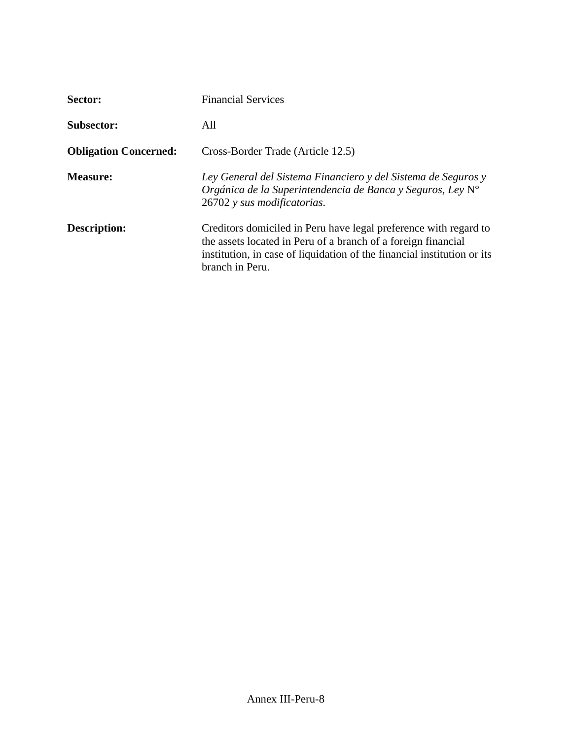| Sector:                      | <b>Financial Services</b>                                                                                                                                                                                                       |
|------------------------------|---------------------------------------------------------------------------------------------------------------------------------------------------------------------------------------------------------------------------------|
| <b>Subsector:</b>            | All                                                                                                                                                                                                                             |
| <b>Obligation Concerned:</b> | Cross-Border Trade (Article 12.5)                                                                                                                                                                                               |
| <b>Measure:</b>              | Ley General del Sistema Financiero y del Sistema de Seguros y<br>Orgánica de la Superintendencia de Banca y Seguros, Ley $N^{\circ}$<br>26702 y sus modificatorias.                                                             |
| <b>Description:</b>          | Creditors domiciled in Peru have legal preference with regard to<br>the assets located in Peru of a branch of a foreign financial<br>institution, in case of liquidation of the financial institution or its<br>branch in Peru. |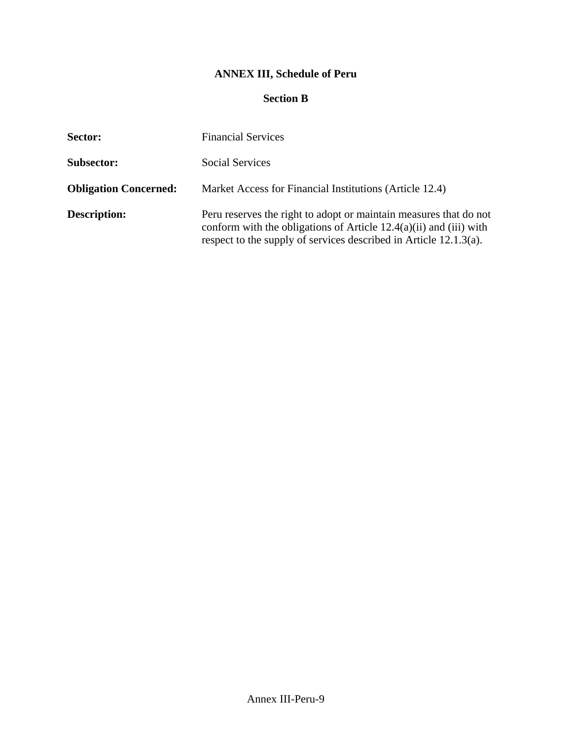# **ANNEX III, Schedule of Peru**

#### **Section B**

| Sector:                      | <b>Financial Services</b>                                                                                                                                                                                      |
|------------------------------|----------------------------------------------------------------------------------------------------------------------------------------------------------------------------------------------------------------|
| <b>Subsector:</b>            | Social Services                                                                                                                                                                                                |
| <b>Obligation Concerned:</b> | Market Access for Financial Institutions (Article 12.4)                                                                                                                                                        |
| <b>Description:</b>          | Peru reserves the right to adopt or maintain measures that do not<br>conform with the obligations of Article $12.4(a)(ii)$ and (iii) with<br>respect to the supply of services described in Article 12.1.3(a). |